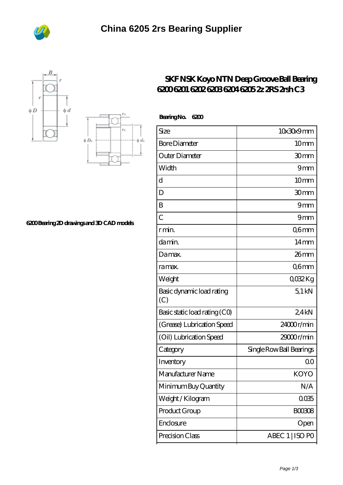





## **[6200 Bearing 2D drawings and 3D CAD models](https://m.bi-countytransitway.com/pic-820874.html)**

## **[SKF NSK Koyo NTN Deep Groove Ball Bearing](https://m.bi-countytransitway.com/6203lu-bearing/koyo-6200.html) [6200 6201 6202 6203 6204 6205 2z 2RS 2rsh C3](https://m.bi-countytransitway.com/6203lu-bearing/koyo-6200.html)**

| <b>BearingNo.</b><br>6200        |                          |
|----------------------------------|--------------------------|
| Size                             | 10x30x9mm                |
| <b>Bore Diameter</b>             | 10mm                     |
| Outer Diameter                   | 30mm                     |
| Width                            | 9mm                      |
| $\overline{\mathrm{d}}$          | 10 <sub>mm</sub>         |
| D                                | 30mm                     |
| B                                | 9mm                      |
| $\overline{C}$                   | 9mm                      |
| r min.                           | Q6mm                     |
| da min.                          | $14 \text{mm}$           |
| Damax.                           | 26 <sub>mm</sub>         |
| ra max.                          | Q6mm                     |
| Weight                           | 0032Kg                   |
| Basic dynamic load rating<br>(C) | 51kN                     |
| Basic static load rating (CO)    | 24kN                     |
| (Grease) Lubrication Speed       | 24000r/min               |
| (Oil) Lubrication Speed          | 29000r/min               |
| Category                         | Single Row Ball Bearings |
| Inventory                        | 0 <sup>0</sup>           |
| Manufacturer Name                | KOYO                     |
| Minimum Buy Quantity             | N/A                      |
| Weight / Kilogram                | 0035                     |
| Product Group                    | <b>BOO3O8</b>            |
| Enclosure                        | Open                     |
| Precision Class                  | ABEC 1   ISO PO          |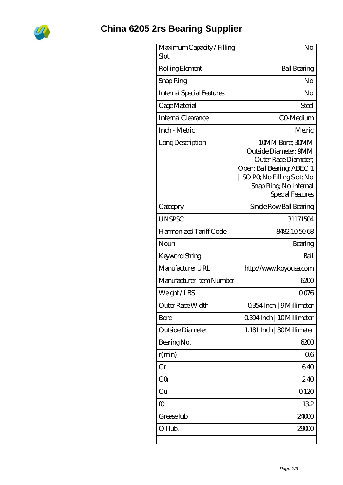

## **[China 6205 2rs Bearing Supplier](https://m.bi-countytransitway.com)**

| Maximum Capacity / Filling<br>Slot | No                                                                                                                                                                         |
|------------------------------------|----------------------------------------------------------------------------------------------------------------------------------------------------------------------------|
| Rolling Element                    | <b>Ball Bearing</b>                                                                                                                                                        |
| Snap Ring                          | No                                                                                                                                                                         |
| <b>Internal Special Features</b>   | No                                                                                                                                                                         |
| Cage Material                      | Steel                                                                                                                                                                      |
| Internal Clearance                 | CO-Medium                                                                                                                                                                  |
| Inch - Metric                      | Metric                                                                                                                                                                     |
| Long Description                   | 10MM Bore; 30MM<br>Outside Diameter; 9MM<br>Outer Race Diameter:<br>Open; Ball Bearing; ABEC 1<br>ISO PQ No Filling Slot; No<br>Snap Ring, No Internal<br>Special Features |
| Category                           | Single Row Ball Bearing                                                                                                                                                    |
| <b>UNSPSC</b>                      | 31171504                                                                                                                                                                   |
| Harmonized Tariff Code             | 8482105068                                                                                                                                                                 |
| Noun                               | Bearing                                                                                                                                                                    |
| <b>Keyword String</b>              | Ball                                                                                                                                                                       |
| Manufacturer URL                   | http://www.koyousa.com                                                                                                                                                     |
| Manufacturer Item Number           | 6200                                                                                                                                                                       |
| Weight/LBS                         | 0076                                                                                                                                                                       |
| Outer Race Width                   | 0.354 Inch   9 Millimeter                                                                                                                                                  |
| Bore                               | 0.394 Inch   10 Millimeter                                                                                                                                                 |
| Outside Diameter                   | 1.181 Inch   30 Millimeter                                                                                                                                                 |
| Bearing No.                        | 6200                                                                                                                                                                       |
| r(min)                             | 06                                                                                                                                                                         |
| Cr                                 | 640                                                                                                                                                                        |
| CQ                                 | 240                                                                                                                                                                        |
| Cu                                 | 0120                                                                                                                                                                       |
| fO                                 | 132                                                                                                                                                                        |
| Grease lub.                        | 24000                                                                                                                                                                      |
| Oil lub.                           | 29000                                                                                                                                                                      |
|                                    |                                                                                                                                                                            |